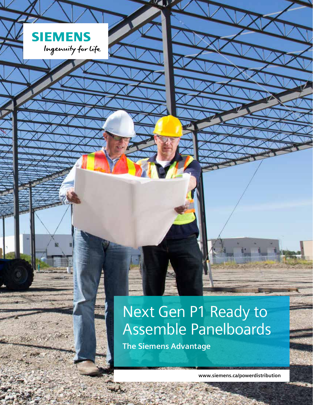# Next Gen P1 Ready to Assemble Panelboards

**The Siemens Advantage**

**SIEMENS** 

a pineri

Ingenuity for Life

**www.siemens.ca/powerdistribution**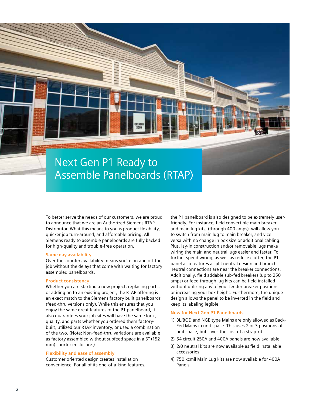

To better serve the needs of our customers, we are proud to announce that we are an Authorized Siemens RTAP Distributor. What this means to you is product flexibility, quicker job turn-around, and affordable pricing. All Siemens ready to assemble panelboards are fully backed for high-quality and trouble-free operation.

#### **Same day availability**

Over the counter availability means you're on and off the job without the delays that come with waiting for factory assembled panelboards.

#### **Product consistency**

Whether you are starting a new project, replacing parts, or adding on to an existing project, the RTAP offering is an exact match to the Siemens factory built panelboards (feed-thru versions only). While this ensures that you enjoy the same great features of the P1 panelboard, it also guarantees your job sites will have the same look, quality, and parts whether you ordered them factorybuilt, utilized our RTAP inventory, or used a combination of the two. (Note: Non-feed-thru variations are available as factory assembled without subfeed space in a 6'' (152 mm) shorter enclosure.)

#### **Flexibility and ease of assembly**

Customer oriented design creates installation convenience. For all of its one-of-a-kind features, the P1 panelboard is also designed to be extremely userfriendly. For instance, field convertible main breaker and main lug kits, (through 400 amps), will allow you to switch from main lug to main breaker, and vice versa with no change in box size or additional cabling. Plus, lay-in construction and/or removable lugs make wiring the main and neutral lugs easier and faster. To further speed wiring, as well as reduce clutter, the P1 panel also features a split neutral design and branch neutral connections are near the breaker connections. Additionally, field addable sub-fed breakers (up to 250 amps) or feed through lug kits can be field installed without utilizing any of your feeder breaker positions or increasing your box height. Furthermore, the unique design allows the panel to be inverted in the field and keep its labeling legible.

#### **New for Next Gen P1 Panelboards**

- 1) BL/BQD and NGB type Mains are only allowed as Back-Fed Mains in unit space. This uses 2 or 3 positions of unit space, but saves the cost of a strap kit.
- 2) 54 circuit 250A and 400A panels are now available.
- 3) 2/0 neutral kits are now available as field installable accessories.
- 4) 750 kcmil Main Lug kits are now available for 400A Panels.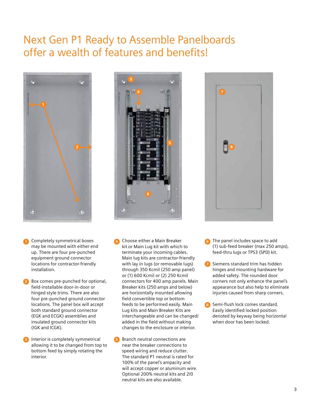### Next Gen P1 Ready to Assemble Panelboards offer a wealth of features and benefits!



- may be mounted with either end up. There are four pre-punched equipment ground connector locations for contractor-friendly installation.
- Box comes pre-punched for optional, **2** field-installable door-in-door or hinged style trims. There are also four pre-punched ground connector locations. The panel box will accept both standard ground connector (EGK and ECGK) assemblies and insulated ground connector kits (IGK and ICGK).
- **3** Interior is completely symmetrical allowing it to be changed from top to bottom feed by simply rotating the interior.



- **1** Completely symmetrical boxes **1 4 6** Choose either a Main Breaker **1 6 6** Choose either a Main Breaker kit or Main Lug kit with which to terminate your incoming cables. Main lug kits are contractor-friendly with lay in lugs (or removable lugs) through 350 Kcmil (250 amp panel) or (1) 600 Kcmil or (2) 250 Kcmil connectors for 400 amp panels. Main Breaker kits (250 amps and below) are horizontally mounted allowing field convertible top or bottom feeds to be performed easily. Main Lug kits and Main Breaker Kits are interchangeable and can be changed/ added in the field without making changes to the enclosure or interior.
	- Branch neutral connections are near the breaker connections to speed wiring and reduce clutter. The standard P1 neutral is rated for 100% of the panel's ampacity and will accept copper or aluminum wire. Optional 200% neutral kits and 2/0 neutral kits are also available. **5**



- **Comparel includes space to add** (1) sub-feed breaker (max 250 amps), feed-thru lugs or TPS3 (SPD) kit.
- Siemens standard trim has hidden hinges and mounting hardware for added safety. The rounded door corners not only enhance the panel's appearance but also help to eliminate injuries caused from sharp corners.
- Semi-flush lock comes standard. Easily identified locked position denoted by keyway being horizontal when door has been locked. **8**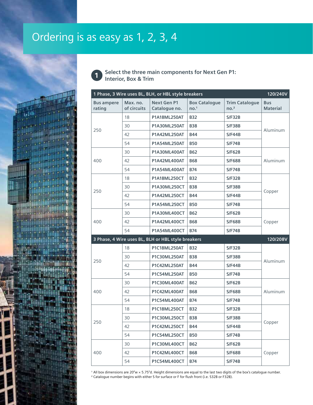## Ordering is as easy as 1, 2, 3, 4



**Select the three main components for Next Gen P1: Interior, Box & Trim** 

| 1 Phase, 3 Wire uses BL, BLH, or HBL style breakers<br>120/240V |                                                                |                                     |                                          |                                           |                               |  |
|-----------------------------------------------------------------|----------------------------------------------------------------|-------------------------------------|------------------------------------------|-------------------------------------------|-------------------------------|--|
| <b>Bus ampere</b><br>rating                                     | Max. no.<br>of circuits                                        | <b>Next Gen P1</b><br>Catalogue no. | <b>Box Catalogue</b><br>no. <sup>1</sup> | <b>Trim Catalogue</b><br>no. <sup>2</sup> | <b>Bus</b><br><b>Material</b> |  |
|                                                                 | 18                                                             | <b>P1A18ML250AT</b>                 | <b>B32</b>                               | S/F32B                                    |                               |  |
|                                                                 | 30                                                             | P1A30ML250AT                        | <b>B38</b>                               | <b>S/F38B</b>                             |                               |  |
| 250                                                             | 42                                                             | <b>P1A42ML250AT</b>                 | <b>B44</b>                               | S/F44B                                    | Aluminum                      |  |
|                                                                 | 54                                                             | <b>P1A54ML250AT</b>                 | <b>B50</b>                               | S/F74B                                    |                               |  |
|                                                                 | 30                                                             | <b>P1A30ML400AT</b>                 | <b>B62</b>                               | S/F628                                    |                               |  |
| 400                                                             | 42                                                             | <b>P1A42ML400AT</b>                 | <b>B68</b>                               | <b>S/F688</b>                             | Aluminum                      |  |
|                                                                 | 54                                                             | <b>P1A54ML400AT</b>                 | <b>B74</b>                               | S/F74B                                    |                               |  |
|                                                                 | 18                                                             | P1A18ML250CT                        | <b>B32</b>                               | S/F32B                                    |                               |  |
|                                                                 | 30                                                             | <b>P1A30ML250CT</b>                 | <b>B38</b>                               | <b>S/F38B</b>                             |                               |  |
| 250                                                             | 42                                                             | P1A42ML250CT                        | <b>B44</b>                               | S/F44B                                    | Copper                        |  |
|                                                                 | 54                                                             | <b>P1A54ML250CT</b>                 | <b>B50</b>                               | S/F74B                                    |                               |  |
|                                                                 | 30                                                             | <b>P1A30ML400CT</b>                 | <b>B62</b>                               | S/F62B                                    |                               |  |
| 400                                                             | 42                                                             | P1A42ML400CT                        | <b>B68</b>                               | <b>S/F68B</b>                             | Copper                        |  |
|                                                                 | 54                                                             | <b>P1A54ML400CT</b>                 | <b>B74</b>                               | S/F74B                                    |                               |  |
|                                                                 | 3 Phase, 4 Wire uses BL, BLH or HBL style breakers<br>120/208V |                                     |                                          |                                           |                               |  |
|                                                                 | 18                                                             | P1C18ML250AT                        | <b>B32</b>                               | S/F32B                                    |                               |  |
|                                                                 | 30                                                             | <b>P1C30ML250AT</b>                 | <b>B38</b>                               | S/F38B                                    |                               |  |
| 250                                                             | 42                                                             | P1C42ML250AT                        | <b>B44</b>                               | S/F44B                                    | Aluminum                      |  |
|                                                                 | 54                                                             | P1C54ML250AT                        | <b>B50</b>                               | S/F74B                                    |                               |  |
|                                                                 | 30                                                             | <b>P1C30ML400AT</b>                 | <b>B62</b>                               | S/F62B                                    |                               |  |
| 400                                                             | 42                                                             | P1C42ML400AT                        | <b>B68</b>                               | S/F68B                                    | Aluminum                      |  |
|                                                                 | 54                                                             | <b>P1C54ML400AT</b>                 | <b>B74</b>                               | S/F74B                                    |                               |  |
|                                                                 | 18                                                             | P1C18ML250CT                        | <b>B32</b>                               | S/F32B                                    |                               |  |
|                                                                 | 30                                                             | P1C30ML250CT                        | <b>B38</b>                               | S/F38B                                    |                               |  |
| 250                                                             | 42                                                             | <b>P1C42ML250CT</b>                 | <b>B44</b>                               | S/F44B                                    | Copper                        |  |
|                                                                 | 54                                                             | P1C54ML250CT                        | <b>B50</b>                               | S/F74B                                    |                               |  |
|                                                                 | 30                                                             | P1C30ML400CT                        | <b>B62</b>                               | S/F62B                                    |                               |  |
| 400                                                             | 42                                                             | P1C42ML400CT                        | <b>B68</b>                               | <b>S/F68B</b>                             | Copper                        |  |
|                                                                 | 54                                                             | P1C54ML400CT                        | <b>B74</b>                               | S/F74B                                    |                               |  |

 All box dimensions are 20"w  $\times$  5.75"d. Height dimensions are equal to the last two digits of the box's catalogue number. ² Catalogue number begins with either S for surface or F for flush front (i.e. S32B or F32B).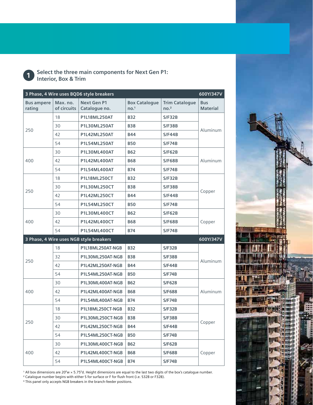

**Select the three main components for Next Gen P1: Interior, Box & Trim**

| 3 Phase, 4 Wire uses BQD6 style breakers |                         |                                         |                                          |                                           | 600Y/347V                     |
|------------------------------------------|-------------------------|-----------------------------------------|------------------------------------------|-------------------------------------------|-------------------------------|
| <b>Bus ampere</b><br>rating              | Max. no.<br>of circuits | <b>Next Gen P1</b><br>Catalogue no.     | <b>Box Catalogue</b><br>no. <sup>1</sup> | <b>Trim Catalogue</b><br>no. <sup>2</sup> | <b>Bus</b><br><b>Material</b> |
|                                          | 18                      | <b>P1L18ML250AT</b>                     | <b>B32</b>                               | S/F32B                                    |                               |
|                                          | 30                      | P1L30ML250AT                            | <b>B38</b>                               | <b>S/F38B</b>                             | Aluminum                      |
| 250                                      | 42                      | <b>P1L42ML250AT</b>                     | <b>B44</b>                               | S/F44B                                    |                               |
|                                          | 54                      | <b>P1L54ML250AT</b>                     | <b>B50</b>                               | S/F74B                                    |                               |
|                                          | 30                      | <b>P1L30ML400AT</b>                     | <b>B62</b>                               | S/F62B                                    |                               |
| 400                                      | 42                      | <b>P1L42ML400AT</b>                     | <b>B68</b>                               | <b>S/F68B</b>                             | Aluminum                      |
|                                          | 54                      | P1L54ML400AT                            | <b>B74</b>                               | <b>S/F74B</b>                             |                               |
|                                          | 18                      | <b>P1L18ML250CT</b>                     | <b>B32</b>                               | S/F32B                                    |                               |
|                                          | 30                      | P1L30ML250CT                            | <b>B38</b>                               | S/F38B                                    |                               |
| 250                                      | 42                      | <b>P1L42ML250CT</b>                     | <b>B44</b>                               | S/F44B                                    | Copper                        |
|                                          | 54                      | P1L54ML250CT                            | <b>B50</b>                               | S/F74B                                    |                               |
|                                          | 30                      | P1L30ML400CT                            | <b>B62</b>                               | S/F62B                                    | Copper                        |
| 400                                      | 42                      | <b>P1L42ML400CT</b>                     | <b>B68</b>                               | <b>S/F68B</b>                             |                               |
|                                          | 54                      | <b>P1L54ML400CT</b>                     | <b>B74</b>                               | S/F74B                                    |                               |
|                                          |                         | 3 Phase, 4 Wire uses NGB style breakers |                                          |                                           | 600Y/347V                     |
|                                          | 18                      | P1L18ML250AT-NGB                        | <b>B32</b>                               | S/F32B                                    |                               |
| 250                                      | 32                      | P1L30ML250AT-NGB                        | <b>B38</b>                               | S/F38B                                    |                               |
|                                          | 42                      | P1L42ML250AT-NGB                        | <b>B44</b>                               | S/F44B                                    | Aluminum                      |
|                                          | 54                      | P1L54ML250AT-NGB                        | <b>B50</b>                               | S/F74B                                    |                               |
|                                          | 30                      | P1L30ML400AT-NGB                        | <b>B62</b>                               | <b>S/F628</b>                             |                               |
| 400                                      | 42                      | P1L42ML400AT-NGB                        | <b>B68</b>                               | <b>S/F688</b>                             | Aluminum                      |
|                                          | 54                      | P1L54ML400AT-NGB                        | <b>B74</b>                               | S/F74B                                    |                               |
| 250                                      | 18                      | P1L18ML250CT-NGB                        | <b>B32</b>                               | S/F32B                                    |                               |
|                                          | 30                      | P1L30ML250CT-NGB                        | <b>B38</b>                               | <b>S/F38B</b>                             |                               |
|                                          | 42                      | P1L42ML250CT-NGB                        | <b>B44</b>                               | S/F44B                                    | Copper                        |
|                                          | 54                      | P1L54ML250CT-NGB                        | <b>B50</b>                               | S/F74B                                    |                               |
|                                          | 30                      | P1L30ML400CT-NGB                        | <b>B62</b>                               | <b>S/F62B</b>                             |                               |
|                                          |                         |                                         |                                          |                                           |                               |
| 400                                      | 42                      | P1L42ML400CT-NGB                        | <b>B68</b>                               | <b>S/F68B</b>                             | Copper                        |

<sup>1</sup> All box dimensions are 20"w × 5.75"d. Height dimensions are equal to the last two digits of the box's catalogue number.

² Catalogue number begins with either S for surface or F for flush front (i.e. S32B or F32B).

<sup>3</sup> This panel only accepts NGB breakers in the branch-feeder positions.

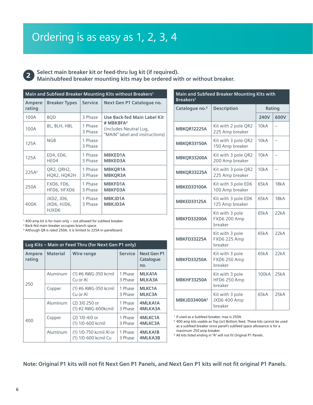**2**

**Select main breaker kit or feed-thru lug kit (if required). Main/subfeed breaker mounting kits may be ordered with or without breaker.**

| Main and Subfeed Breaker Mounting Kits without Breakers <sup>1</sup> |                                    |                    |                                                                                   |  |  |
|----------------------------------------------------------------------|------------------------------------|--------------------|-----------------------------------------------------------------------------------|--|--|
| Ampere<br>rating                                                     | <b>Breaker Types</b>               | <b>Service</b>     | Next Gen P1 Cataloque no.                                                         |  |  |
| 100A                                                                 | <b>BOD</b>                         | 3 Phase            | <b>Use Back-fed Main Label Kit</b>                                                |  |  |
| 100A                                                                 | BL, BLH, HBL                       | 1 Phase<br>3 Phase | # MBKBFA <sup>2</sup><br>(includes Neutral Lug,<br>"MAIN" label and instructions) |  |  |
| 125A                                                                 | <b>NGB</b>                         | 1 Phase<br>3 Phase |                                                                                   |  |  |
| 125A                                                                 | ED4, ED6,<br>HED4                  | 1 Phase<br>3 Phase | <b>MBKED1A</b><br><b>MBKED3A</b>                                                  |  |  |
| 225A <sup>3</sup>                                                    | QR2, QRH2,<br>HQR2, HQR2H          | 1 Phase<br>3 Phase | <b>MBKOR1A</b><br><b>MBKQR3A</b>                                                  |  |  |
| 250A                                                                 | FXD6, FD6,<br>HFD6, HFXD6          | 1 Phase<br>3 Phase | <b>MBKFD1A</b><br><b>MBKFD3A</b>                                                  |  |  |
| 400A                                                                 | JXD2, JD6,<br>JXD6, HJD6,<br>HJXD6 | 1 Phase<br>3 Phase | <b>MBKJD1A</b><br><b>MBKJD3A</b>                                                  |  |  |

<sup>1</sup> 400 amp kit is for main only – not allowed for subfeed breaker.

² Back-fed main breaker occupies branch space.

³ Although QR is rated 250A, it is limited to 225A in panelboard.

| Lug Kits - Main or Feed Thru (for Next Gen P1 only) |                 |                                                 |                    |                                 |  |
|-----------------------------------------------------|-----------------|-------------------------------------------------|--------------------|---------------------------------|--|
| Ampere<br>rating                                    | <b>Material</b> | Wire range                                      | <b>Service</b>     | Next Gen P1<br>Catalogue<br>no. |  |
| 250                                                 | Aluminum        | (1) #6 AWG-350 kcmil<br>Cu or Al                | 1 Phase<br>3 Phase | <b>MLKA1A</b><br>MLKA3A         |  |
|                                                     | Copper          | (1) #6 AWG-350 kcmil<br>Cu or Al                | 1 Phase<br>3 Phase | <b>MLKC1A</b><br><b>MLKC3A</b>  |  |
| 400                                                 | Aluminum        | (2) 3/0 250 or<br>(1) #2 AWG-600kcmil           | 1 Phase<br>3 Phase | 4MLKA1A<br>4MLKA3A              |  |
|                                                     | Copper          | $(2)$ 1/0-4/0 or<br>(1) 1/0-600 kcmil           | 1 Phase<br>3 Phase | 4MLKC1A<br>4MLKC3A              |  |
|                                                     | Aluminum        | (1) 1/0-750 kcmil Al or<br>(1) 1/0-600 kcmil Cu | 1 Phase<br>3 Phase | <b>4MLKA1B</b><br>4MLKA3B       |  |

| Main and Subfeed Breaker Mounting Kits with<br>Breakers <sup>1</sup> |                                                   |        |      |  |
|----------------------------------------------------------------------|---------------------------------------------------|--------|------|--|
| Catalogue no. <sup>3</sup>                                           | <b>Description</b>                                | Rating |      |  |
|                                                                      |                                                   | 240V   | 600V |  |
| MBKQR12225A                                                          | Kit with 2 pole QR2<br>225 Amp breaker            | 10kA   |      |  |
| MBKQR33150A                                                          | Kit with 3 pole QR2<br>150 Amp breaker            | 10kA   |      |  |
| MBKQR33200A                                                          | Kit with 3 pole QR2<br>200 Amp breaker            | 10kA   | -    |  |
| MBKQR33225A                                                          | Kit with 3 pole QR2<br>225 Amp breaker            | 10kA   |      |  |
| <b>MBKED33100A</b>                                                   | Kit with 3 pole ED6<br>100 Amp breaker            | 65kA   | 18kA |  |
| <b>MBKED33125A</b>                                                   | Kit with 3 pole ED6<br>125 Amp breaker            | 65kA   | 18kA |  |
| <b>MBKFD33200A</b>                                                   | Kit with 3 pole<br><b>FXD6 200 Amp</b><br>breaker | 65kA   | 22kA |  |
| <b>MBKFD33225A</b>                                                   | Kit with 3 pole<br><b>FXD6 225 Amp</b><br>breaker | 65kA   | 22kA |  |
| <b>MBKFD33250A</b>                                                   | Kit with 3 pole<br><b>FXD6 250 Amp</b><br>breaker | 65kA   | 22kA |  |
| <b>MBKHF33250A</b>                                                   | Kit with 3 pole<br><b>HFD6 250 Amp</b><br>breaker | 100kA  | 25kA |  |
| MBKJD33400A <sup>2</sup>                                             | Kit with 3 pole<br><b>JXD6 400 Amp</b><br>breaker | 65kA   | 25kA |  |

<sup>1</sup> If used as a Subfeed breaker, max is 250A.

² 400 amp kits usable as Top (or) Bottom feed. These kits cannot be used as a subfeed breaker since panel's subfeed space allowance is for a maximum 250 amp breaker.

<sup>3</sup> All kits listed ending in "A" will not fit Original P1 Panels.

**Note: Original P1 kits will not fit Next Gen P1 Panels, and Next Gen P1 kits will not fit original P1 Panels.**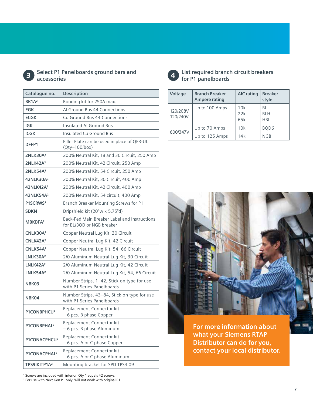

#### **3 Select P1 Panelboards ground bars and 4 4 accessories**

| Catalogue no.            | Description                                                               |  |  |
|--------------------------|---------------------------------------------------------------------------|--|--|
| BK1A <sup>2</sup>        | Bonding kit for 250A max.                                                 |  |  |
| EGK                      | Al Ground Bus 44 Connections                                              |  |  |
| <b>ECGK</b>              | Cu Ground Bus 44 Connections                                              |  |  |
| <b>IGK</b>               | Insulated Al Ground Bus                                                   |  |  |
| <b>ICGK</b>              | Insulated Cu Ground Bus                                                   |  |  |
| DFFP1                    | Filler Plate can be used in place of QF3-UL<br>$(Qty=100/box)$            |  |  |
| 2NLK30A <sup>2</sup>     | 200% Neutral Kit, 18 and 30 Circuit, 250 Amp                              |  |  |
| 2NLK42A <sup>2</sup>     | 200% Neutral Kit, 42 Circuit, 250 Amp                                     |  |  |
| 2NLK54A <sup>2</sup>     | 200% Neutral Kit, 54 Circuit, 250 Amp                                     |  |  |
| 42NLK30A <sup>2</sup>    | 200% Neutral Kit, 30 Circuit, 400 Amp                                     |  |  |
| 42NLK42A <sup>2</sup>    | 200% Neutral Kit, 42 Circuit, 400 Amp                                     |  |  |
| 42NLK54A <sup>2</sup>    | 200% Neutral Kit, 54 circuit, 400 Amp                                     |  |  |
| P1SCRWS <sup>1</sup>     | Branch Breaker Mounting Screws for P1                                     |  |  |
| <b>SDKN</b>              | Dripshield kit (20"w × 5.75"d)                                            |  |  |
| MBKBFA <sup>2</sup>      | Back-Fed Main Breaker Label and Instructions<br>for BL/BQD or NGB breaker |  |  |
| CNLK30A <sup>2</sup>     | Copper Neutral Lug Kit, 30 Circuit                                        |  |  |
| CNLK42A <sup>2</sup>     | Copper Neutral Lug Kit, 42 Circuit                                        |  |  |
| CNLK54A <sup>2</sup>     | Copper Neutral Lug Kit, 54, 66 Circuit                                    |  |  |
| LNLK30A <sup>2</sup>     | 2/0 Aluminum Neutral Lug Kit, 30 Circuit                                  |  |  |
| LNLK42A <sup>2</sup>     | 2/0 Aluminum Neutral Lug Kit, 42 Circuit                                  |  |  |
| LNLK54A <sup>2</sup>     | 2/0 Aluminum Neutral Lug Kit, 54, 66 Circuit                              |  |  |
| NBK03                    | Number Strips, 1-42, Stick-on type for use<br>with P1 Series Panelboards  |  |  |
| NBK04                    | Number Strips, 43-84, Stick-on type for use<br>with P1 Series Panelboards |  |  |
| P1CONBPHCU <sup>2</sup>  | Replacement Connector kit<br>- 6 pcs. B phase Copper                      |  |  |
| P1CONBPHAL <sup>2</sup>  | Replacement Connector kit<br>- 6 pcs. B phase Aluminum                    |  |  |
| P1CONACPHCU <sup>2</sup> | Replacement Connector kit<br>- 6 pcs. A or C phase Copper                 |  |  |
| P1CONACPHAL <sup>2</sup> | Replacement Connector kit<br>- 6 pcs. A or C phase Aluminum               |  |  |
| TPS9IKITP1A <sup>2</sup> | Mounting bracket for SPD TPS3 09                                          |  |  |



**List required branch circuit breakers for P1 panelboards**

|  | Voltage              | <b>Branch Breaker</b><br><b>Ampere rating</b> | <b>AIC rating</b> | <b>Breaker</b><br>style        |
|--|----------------------|-----------------------------------------------|-------------------|--------------------------------|
|  | 120/208V<br>120/240V | Up to 100 Amps                                | 10k<br>22k<br>65k | BL<br><b>BLH</b><br><b>HBL</b> |
|  | 600/347V             | Up to 70 Amps                                 | 10k               | BOD <sub>6</sub>               |
|  |                      | Up to 125 Amps                                | 14k               | NGB                            |



**For more information about what your Siemens RTAP Distributor can do for you, contact your local distributor.**

<sup>1</sup> Screws are included with interior. Qty 1 equals 42 screws.

² For use with Next Gen P1 only. Will not work with original P1.